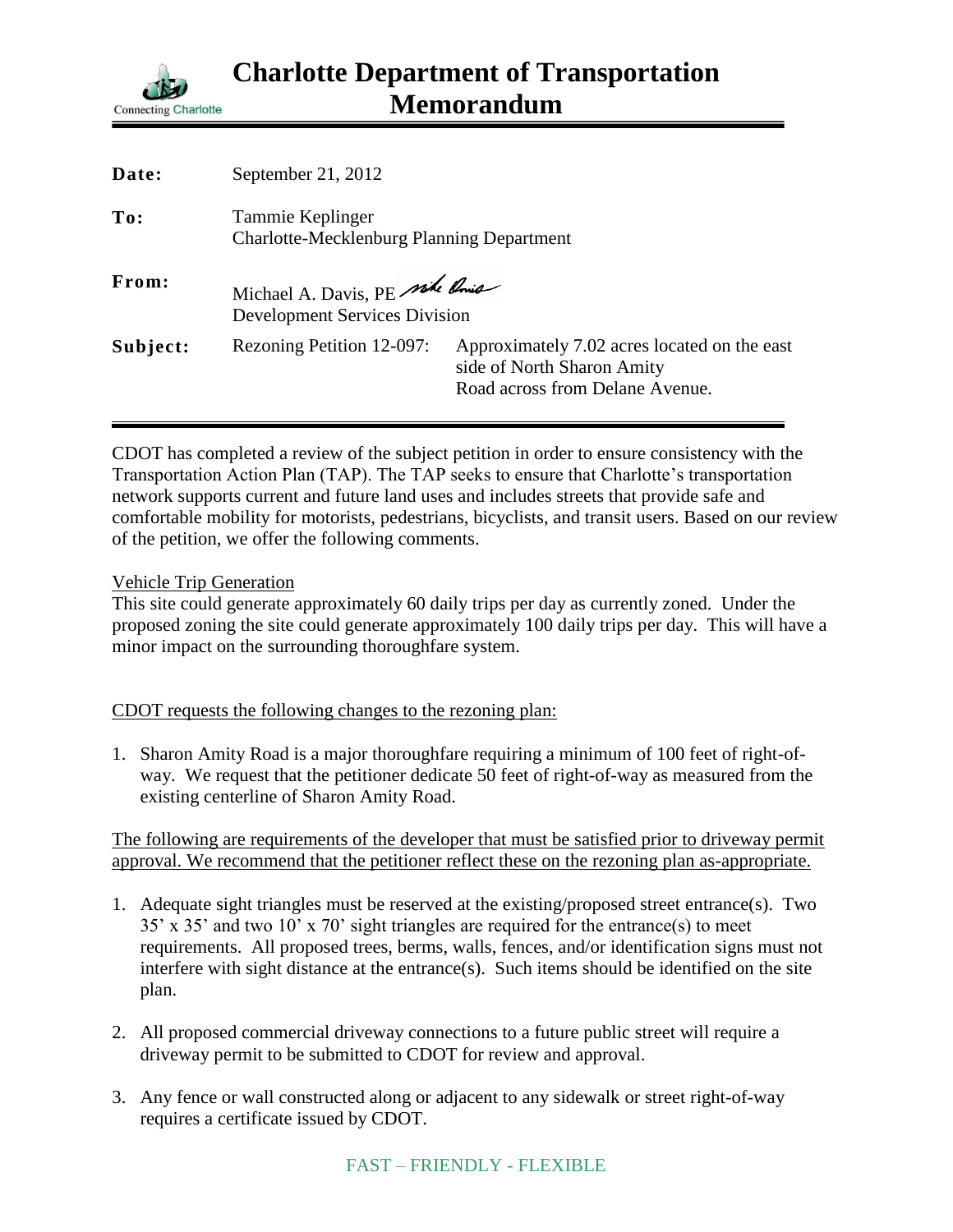

| Date:    | September 21, 2012                                                      |                                                                                                               |
|----------|-------------------------------------------------------------------------|---------------------------------------------------------------------------------------------------------------|
| To:      | Tammie Keplinger<br><b>Charlotte-Mecklenburg Planning Department</b>    |                                                                                                               |
| From:    | Michael A. Davis, PE side Rouse<br><b>Development Services Division</b> |                                                                                                               |
| Subject: | Rezoning Petition 12-097:                                               | Approximately 7.02 acres located on the east<br>side of North Sharon Amity<br>Road across from Delane Avenue. |

CDOT has completed a review of the subject petition in order to ensure consistency with the Transportation Action Plan (TAP). The TAP seeks to ensure that Charlotte's transportation network supports current and future land uses and includes streets that provide safe and comfortable mobility for motorists, pedestrians, bicyclists, and transit users. Based on our review of the petition, we offer the following comments.

## Vehicle Trip Generation

This site could generate approximately 60 daily trips per day as currently zoned. Under the proposed zoning the site could generate approximately 100 daily trips per day. This will have a minor impact on the surrounding thoroughfare system.

## CDOT requests the following changes to the rezoning plan:

1. Sharon Amity Road is a major thoroughfare requiring a minimum of 100 feet of right-ofway. We request that the petitioner dedicate 50 feet of right-of-way as measured from the existing centerline of Sharon Amity Road.

The following are requirements of the developer that must be satisfied prior to driveway permit approval. We recommend that the petitioner reflect these on the rezoning plan as-appropriate.

- 1. Adequate sight triangles must be reserved at the existing/proposed street entrance(s). Two 35' x 35' and two 10' x 70' sight triangles are required for the entrance(s) to meet requirements. All proposed trees, berms, walls, fences, and/or identification signs must not interfere with sight distance at the entrance(s). Such items should be identified on the site plan.
- 2. All proposed commercial driveway connections to a future public street will require a driveway permit to be submitted to CDOT for review and approval.
- 3. Any fence or wall constructed along or adjacent to any sidewalk or street right-of-way requires a certificate issued by CDOT.